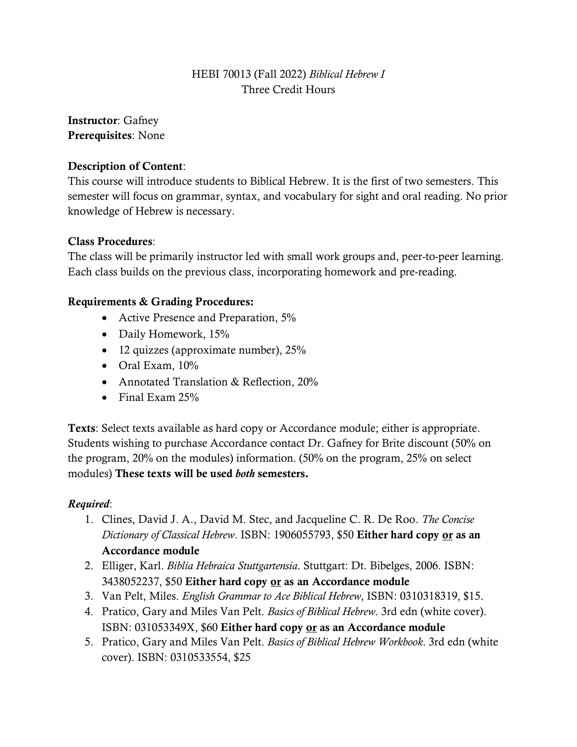# HEBI 70013 (Fall 2022) *Biblical Hebrew I* Three Credit Hours

Instructor: Gafney Prerequisites: None

## Description of Content:

This course will introduce students to Biblical Hebrew. It is the first of two semesters. This semester will focus on grammar, syntax, and vocabulary for sight and oral reading. No prior knowledge of Hebrew is necessary.

### Class Procedures:

The class will be primarily instructor led with small work groups and, peer-to-peer learning. Each class builds on the previous class, incorporating homework and pre-reading.

### Requirements & Grading Procedures:

- Active Presence and Preparation, 5%
- Daily Homework, 15%
- 12 quizzes (approximate number), 25%
- Oral Exam, 10%
- Annotated Translation & Reflection, 20%
- Final Exam 25%

Texts: Select texts available as hard copy or Accordance module; either is appropriate. Students wishing to purchase Accordance contact Dr. Gafney for Brite discount (50% on the program, 20% on the modules) information. (50% on the program, 25% on select modules) These texts will be used *both* semesters.

#### *Required*:

- 1. Clines, David J. A., David M. Stec, and Jacqueline C. R. De Roo. *The Concise Dictionary of Classical Hebrew*. ISBN: 1906055793, \$50 Either hard copy or as an Accordance module
- 2. Elliger, Karl. *Biblia Hebraica Stuttgartensia*. Stuttgart: Dt. Bibelges, 2006. ISBN: 3438052237, \$50 Either hard copy or as an Accordance module
- 3. Van Pelt, Miles. *English Grammar to Ace Biblical Hebrew*, ISBN: 0310318319, \$15.
- 4. Pratico, Gary and Miles Van Pelt. *Basics of Biblical Hebrew*. 3rd edn (white cover). ISBN: 031053349X, \$60 Either hard copy or as an Accordance module
- 5. Pratico, Gary and Miles Van Pelt. *Basics of Biblical Hebrew Workbook*. 3rd edn (white cover). ISBN: 0310533554, \$25